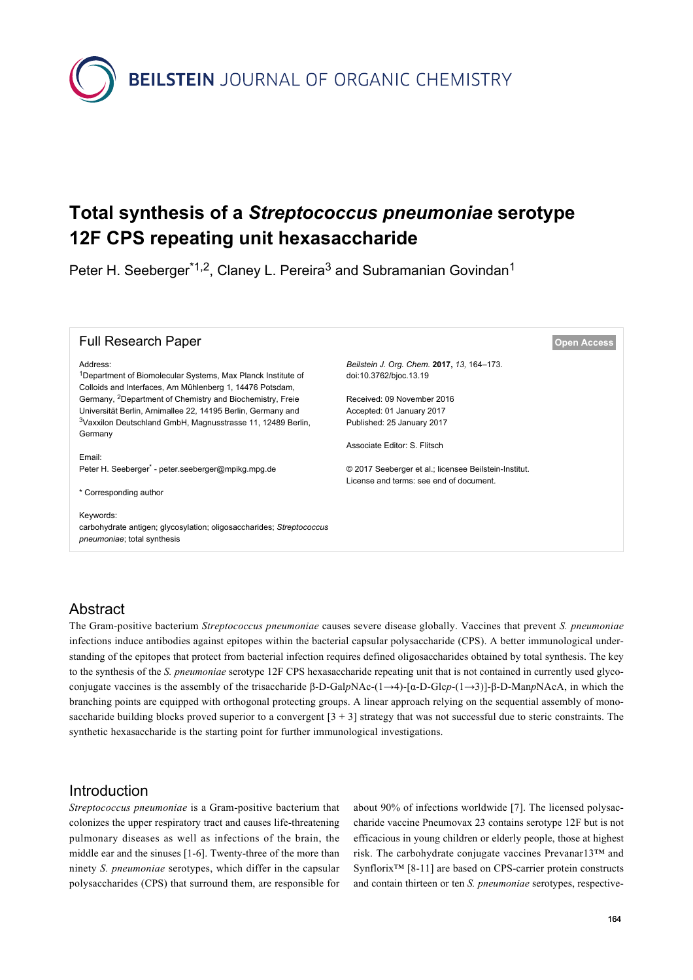**BEILSTEIN** JOURNAL OF ORGANIC CHEMISTRY

# **Total synthesis of a** *Streptococcus pneumoniae* **serotype 12F CPS repeating unit hexasaccharide**

Peter H. Seeberger<sup>\*1,2</sup>, Claney L. Pereira<sup>3</sup> and Subramanian Govindan<sup>1</sup>

| <b>Full Research Paper</b>                                                                                                           |                                                       | <b>Open Access</b> |
|--------------------------------------------------------------------------------------------------------------------------------------|-------------------------------------------------------|--------------------|
| Address:                                                                                                                             | Beilstein J. Org. Chem. 2017, 13, 164-173.            |                    |
| <sup>1</sup> Department of Biomolecular Systems, Max Planck Institute of<br>Colloids and Interfaces, Am Mühlenberg 1, 14476 Potsdam, | doi:10.3762/bjoc.13.19                                |                    |
| Germany, <sup>2</sup> Department of Chemistry and Biochemistry, Freie                                                                | Received: 09 November 2016                            |                    |
| Universität Berlin, Arnimallee 22, 14195 Berlin, Germany and                                                                         | Accepted: 01 January 2017                             |                    |
| <sup>3</sup> Vaxxilon Deutschland GmbH, Magnusstrasse 11, 12489 Berlin,                                                              | Published: 25 January 2017                            |                    |
| Germany                                                                                                                              |                                                       |                    |
|                                                                                                                                      | Associate Editor: S. Flitsch                          |                    |
| Email:                                                                                                                               |                                                       |                    |
| Peter H. Seeberger <sup>*</sup> - peter.seeberger@mpikg.mpg.de                                                                       | © 2017 Seeberger et al.; licensee Beilstein-Institut. |                    |
|                                                                                                                                      | License and terms: see end of document.               |                    |
| * Corresponding author                                                                                                               |                                                       |                    |
|                                                                                                                                      |                                                       |                    |
| Keywords:                                                                                                                            |                                                       |                    |
| carbohydrate antigen; glycosylation; oligosaccharides; Streptococcus                                                                 |                                                       |                    |
| <i>pneumoniae</i> ; total synthesis                                                                                                  |                                                       |                    |

# Abstract

The Gram-positive bacterium *Streptococcus pneumoniae* causes severe disease globally. Vaccines that prevent *S. pneumoniae* infections induce antibodies against epitopes within the bacterial capsular polysaccharide (CPS). A better immunological understanding of the epitopes that protect from bacterial infection requires defined oligosaccharides obtained by total synthesis. The key to the synthesis of the *S. pneumoniae* serotype 12F CPS hexasaccharide repeating unit that is not contained in currently used glycoconjugate vaccines is the assembly of the trisaccharide β-D-Gal*p*NAc-(1→4)-[α-D-Glc*p*-(1→3)]-β-D-Man*p*NAcA, in which the branching points are equipped with orthogonal protecting groups. A linear approach relying on the sequential assembly of monosaccharide building blocks proved superior to a convergent  $[3 + 3]$  strategy that was not successful due to steric constraints. The synthetic hexasaccharide is the starting point for further immunological investigations.

# Introduction

*Streptococcus pneumoniae* is a Gram-positive bacterium that colonizes the upper respiratory tract and causes life-threatening pulmonary diseases as well as infections of the brain, the middle ear and the sinuses [\[1-6\].](#page-8-0) Twenty-three of the more than ninety *S. pneumoniae* serotypes, which differ in the capsular polysaccharides (CPS) that surround them, are responsible for

about 90% of infections worldwide [\[7\]](#page-8-1). The licensed polysaccharide vaccine Pneumovax 23 contains serotype 12F but is not efficacious in young children or elderly people, those at highest risk. The carbohydrate conjugate vaccines Prevanar13™ and Synflorix™ [\[8-11\]](#page-8-2) are based on CPS-carrier protein constructs and contain thirteen or ten *S. pneumoniae* serotypes, respective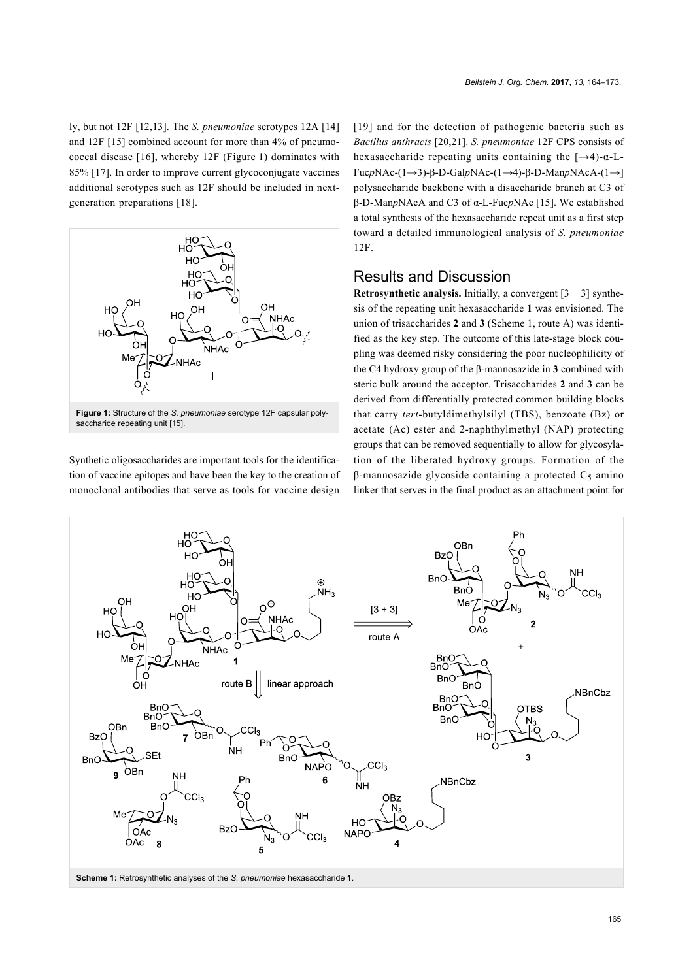ly, but not 12F [\[12,13\]](#page-8-3). The *S. pneumoniae* serotypes 12A [\[14\]](#page-8-4) and 12F [\[15\]](#page-8-5) combined account for more than 4% of pneumococcal disease [\[16\]](#page-8-6), whereby 12F ([Figure 1](#page-1-0)) dominates with 85% [\[17\].](#page-8-7) In order to improve current glycoconjugate vaccines additional serotypes such as 12F should be included in nextgeneration preparations [\[18\]](#page-8-8).

<span id="page-1-0"></span>

Synthetic oligosaccharides are important tools for the identification of vaccine epitopes and have been the key to the creation of monoclonal antibodies that serve as tools for vaccine design

[\[19\]](#page-8-9) and for the detection of pathogenic bacteria such as *Bacillus anthracis* [\[20,21\].](#page-8-10) *S. pneumoniae* 12F CPS consists of hexasaccharide repeating units containing the  $[\rightarrow 4)-\alpha$ -L-Fuc*p*NAc-(1→3)-β-D-Gal*p*NAc-(1→4)-β-D-Man*p*NAcA-(1→] polysaccharide backbone with a disaccharide branch at C3 of β-D-Man*p*NAcA and C3 of α-L-Fuc*p*NAc [\[15\].](#page-8-5) We established a total synthesis of the hexasaccharide repeat unit as a first step toward a detailed immunological analysis of *S. pneumoniae* 12F.

# Results and Discussion

**Retrosynthetic analysis.** Initially, a convergent  $[3 + 3]$  synthesis of the repeating unit hexasaccharide **1** was envisioned. The union of trisaccharides **2** and **3** ([Scheme 1](#page-1-1), route A) was identified as the key step. The outcome of this late-stage block coupling was deemed risky considering the poor nucleophilicity of the C4 hydroxy group of the β-mannosazide in **3** combined with steric bulk around the acceptor. Trisaccharides **2** and **3** can be derived from differentially protected common building blocks that carry *tert*-butyldimethylsilyl (TBS), benzoate (Bz) or acetate (Ac) ester and 2-naphthylmethyl (NAP) protecting groups that can be removed sequentially to allow for glycosylation of the liberated hydroxy groups. Formation of the  $β$ -mannosazide glycoside containing a protected  $C<sub>5</sub>$  amino linker that serves in the final product as an attachment point for

<span id="page-1-1"></span>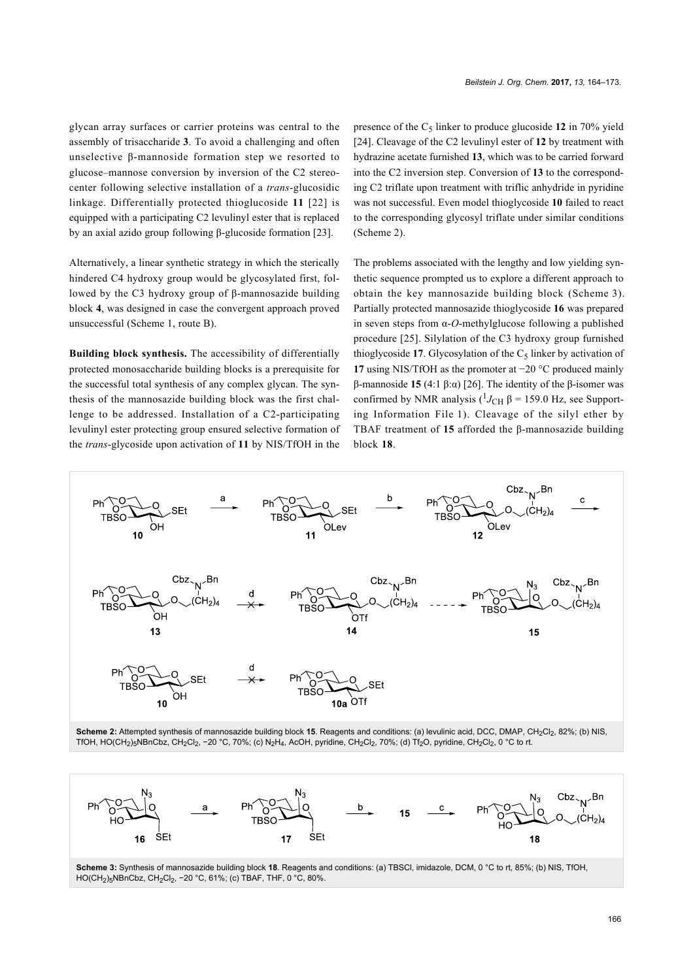glycan array surfaces or carrier proteins was central to the assembly of trisaccharide **3**. To avoid a challenging and often unselective β-mannoside formation step we resorted to glucose–mannose conversion by inversion of the C2 stereocenter following selective installation of a *trans*-glucosidic linkage. Differentially protected thioglucoside **11** [\[22\]](#page-8-11) is equipped with a participating C2 levulinyl ester that is replaced by an axial azido group following β-glucoside formation [\[23\]](#page-8-12).

Alternatively, a linear synthetic strategy in which the sterically hindered C4 hydroxy group would be glycosylated first, followed by the C3 hydroxy group of β-mannosazide building block **4**, was designed in case the convergent approach proved unsuccessful [\(Scheme 1](#page-1-1), route B).

**Building block synthesis.** The accessibility of differentially protected monosaccharide building blocks is a prerequisite for the successful total synthesis of any complex glycan. The synthesis of the mannosazide building block was the first challenge to be addressed. Installation of a C2-participating levulinyl ester protecting group ensured selective formation of the *trans*-glycoside upon activation of **11** by NIS/TfOH in the

presence of the  $C_5$  linker to produce glucoside 12 in 70% yield [\[24\].](#page-8-13) Cleavage of the C2 levulinyl ester of **12** by treatment with hydrazine acetate furnished **13**, which was to be carried forward into the C2 inversion step. Conversion of **13** to the corresponding C2 triflate upon treatment with triflic anhydride in pyridine was not successful. Even model thioglycoside **10** failed to react to the corresponding glycosyl triflate under similar conditions ([Scheme 2\)](#page-2-0).

The problems associated with the lengthy and low yielding synthetic sequence prompted us to explore a different approach to obtain the key mannosazide building block ([Scheme 3](#page-2-1)). Partially protected mannosazide thioglycoside **16** was prepared in seven steps from α-*O*-methylglucose following a published procedure [\[25\]](#page-8-14). Silylation of the C3 hydroxy group furnished thioglycoside 17. Glycosylation of the  $C_5$  linker by activation of **17** using NIS/TfOH as the promoter at −20 °C produced mainly β-mannoside **15** (4:1 β:α) [\[26\]](#page-8-15). The identity of the β-isomer was confirmed by NMR analysis  $($ <sup>1</sup> $J$ <sub>CH</sub> β = 159.0 Hz, see [Support](#page-8-16)[ing Information File 1](#page-8-16)). Cleavage of the silyl ether by TBAF treatment of **15** afforded the β-mannosazide building block **18**.

<span id="page-2-0"></span>

Scheme 2: Attempted synthesis of mannosazide building block 15. Reagents and conditions: (a) levulinic acid, DCC, DMAP, CH<sub>2</sub>Cl<sub>2</sub>, 82%; (b) NIS, TfOH, HO(CH<sub>2</sub>)<sub>5</sub>NBnCbz, CH<sub>2</sub>Cl<sub>2</sub>, -20 °C, 70%; (c) N<sub>2</sub>H<sub>4</sub>, AcOH, pyridine, CH<sub>2</sub>Cl<sub>2</sub>, 70%; (d) Tf<sub>2</sub>O, pyridine, CH<sub>2</sub>Cl<sub>2</sub>, 0 °C to rt.

<span id="page-2-1"></span>

**Scheme 3:** Synthesis of mannosazide building block **18**. Reagents and conditions: (a) TBSCl, imidazole, DCM, 0 °C to rt, 85%; (b) NIS, TfOH, HO(CH<sub>2</sub>)<sub>5</sub>NBnCbz, CH<sub>2</sub>Cl<sub>2</sub>, -20 °C, 61%; (c) TBAF, THF, 0 °C, 80%.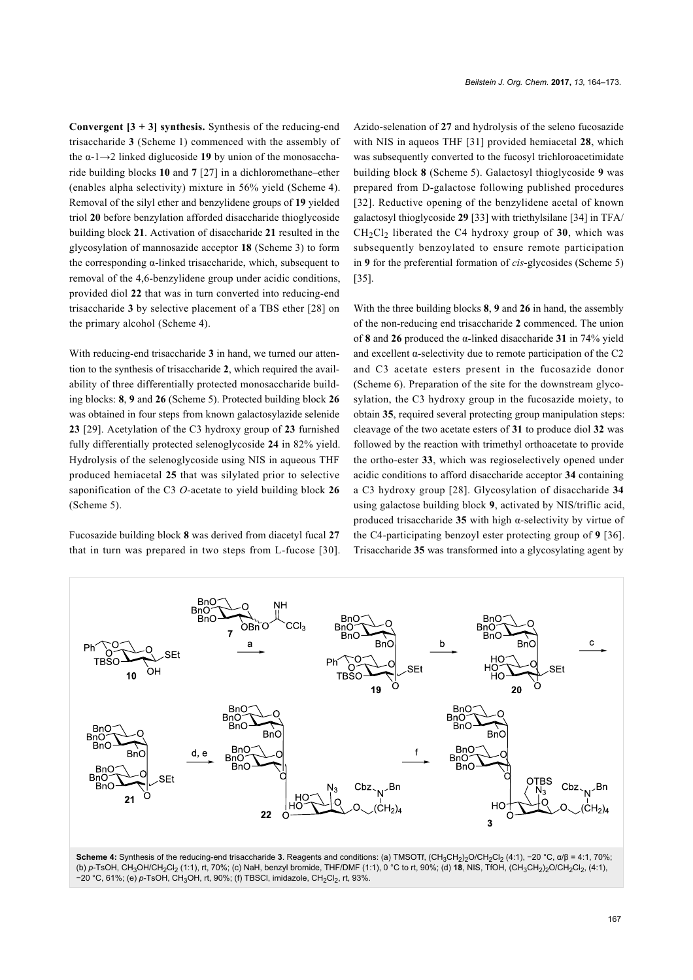**Convergent**  $[3 + 3]$  **synthesis.** Synthesis of the reducing-end trisaccharide **3** [\(Scheme 1\)](#page-1-1) commenced with the assembly of the α-1→2 linked diglucoside **19** by union of the monosaccharide building blocks **10** and **7** [\[27\]](#page-8-17) in a dichloromethane–ether (enables alpha selectivity) mixture in 56% yield ([Scheme 4\)](#page-3-0). Removal of the silyl ether and benzylidene groups of **19** yielded triol **20** before benzylation afforded disaccharide thioglycoside building block **21**. Activation of disaccharide **21** resulted in the glycosylation of mannosazide acceptor **18** ([Scheme 3](#page-2-1)) to form the corresponding α-linked trisaccharide, which, subsequent to removal of the 4,6-benzylidene group under acidic conditions, provided diol **22** that was in turn converted into reducing-end trisaccharide **3** by selective placement of a TBS ether [\[28\]](#page-8-18) on the primary alcohol ([Scheme 4](#page-3-0)).

With reducing-end trisaccharide **3** in hand, we turned our attention to the synthesis of trisaccharide **2**, which required the availability of three differentially protected monosaccharide building blocks: **8**, **9** and **26** ([Scheme 5](#page-4-0)). Protected building block **26** was obtained in four steps from known galactosylazide selenide **23** [\[29\].](#page-8-19) Acetylation of the C3 hydroxy group of **23** furnished fully differentially protected selenoglycoside **24** in 82% yield. Hydrolysis of the selenoglycoside using NIS in aqueous THF produced hemiacetal **25** that was silylated prior to selective saponification of the C3 *O*-acetate to yield building block **26** ([Scheme 5](#page-4-0)).

Fucosazide building block **8** was derived from diacetyl fucal **27** that in turn was prepared in two steps from L-fucose [\[30\]](#page-8-20).

Azido-selenation of **27** and hydrolysis of the seleno fucosazide with NIS in aqueos THF [\[31\]](#page-8-21) provided hemiacetal **28**, which was subsequently converted to the fucosyl trichloroacetimidate building block **8** ([Scheme 5\)](#page-4-0). Galactosyl thioglycoside **9** was prepared from D-galactose following published procedures [\[32\]](#page-8-22). Reductive opening of the benzylidene acetal of known galactosyl thioglycoside **29** [\[33\]](#page-8-23) with triethylsilane [\[34\]](#page-8-24) in TFA/  $CH_2Cl_2$  liberated the C4 hydroxy group of 30, which was subsequently benzoylated to ensure remote participation in **9** for the preferential formation of *cis*-glycosides ([Scheme 5](#page-4-0)) [\[35\].](#page-8-25)

With the three building blocks **8**, **9** and **26** in hand, the assembly of the non-reducing end trisaccharide **2** commenced. The union of **8** and **26** produced the α-linked disaccharide **31** in 74% yield and excellent  $\alpha$ -selectivity due to remote participation of the C<sub>2</sub> and C3 acetate esters present in the fucosazide donor ([Scheme 6\)](#page-4-1). Preparation of the site for the downstream glycosylation, the C3 hydroxy group in the fucosazide moiety, to obtain **35**, required several protecting group manipulation steps: cleavage of the two acetate esters of **31** to produce diol **32** was followed by the reaction with trimethyl orthoacetate to provide the ortho-ester **33**, which was regioselectively opened under acidic conditions to afford disaccharide acceptor **34** containing a C3 hydroxy group [\[28\]](#page-8-18). Glycosylation of disaccharide **34** using galactose building block **9**, activated by NIS/triflic acid, produced trisaccharide **35** with high α-selectivity by virtue of the C4-participating benzoyl ester protecting group of **9** [\[36\]](#page-9-0). Trisaccharide **35** was transformed into a glycosylating agent by

<span id="page-3-0"></span>

Scheme 4: Synthesis of the reducing-end trisaccharide 3. Reagents and conditions: (a) TMSOTf, (CH<sub>3</sub>CH<sub>2</sub>)<sub>2</sub>O/CH<sub>2</sub>Cl<sub>2</sub> (4:1), −20 °C, α/β = 4:1, 70%; (b) *p*-TsOH, CH3OH/CH2Cl2 (1:1), rt, 70%; (c) NaH, benzyl bromide, THF/DMF (1:1), 0 °C to rt, 90%; (d) **18**, NIS, TfOH, (CH3CH2)2O/CH2Cl2, (4:1), −20 °C, 61%; (e) *p*-TsOH, CH<sub>3</sub>OH, rt, 90%; (f) TBSCI, imidazole, CH<sub>2</sub>Cl<sub>2</sub>, rt, 93%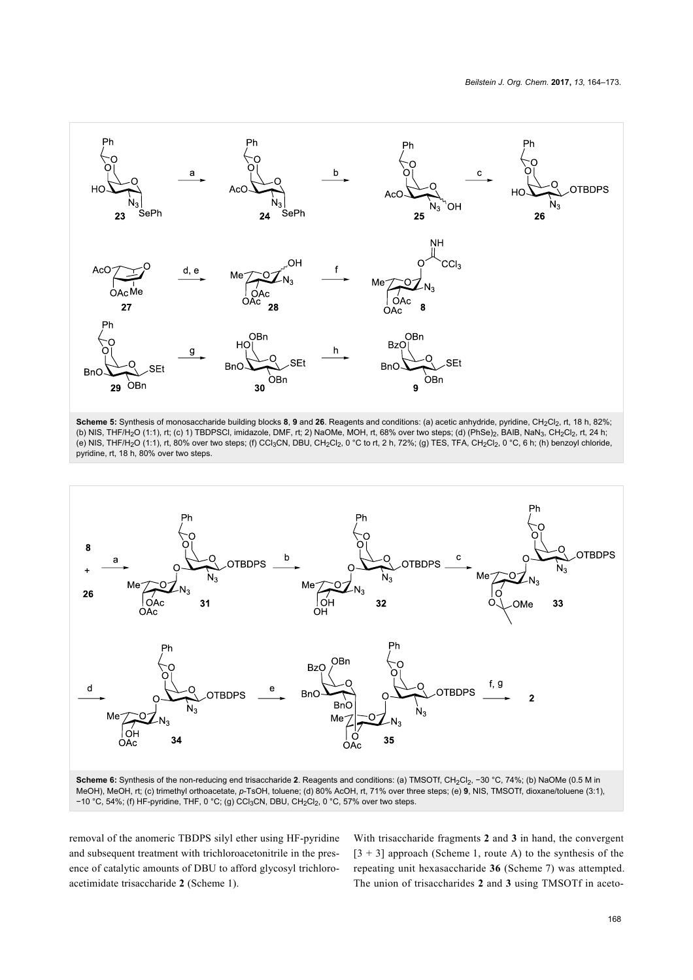<span id="page-4-0"></span>

Scheme 5: Synthesis of monosaccharide building blocks 8, 9 and 26. Reagents and conditions: (a) acetic anhydride, pyridine, CH<sub>2</sub>Cl<sub>2</sub>, rt, 18 h, 82%; (b) NIS, THF/H2O (1:1), rt; (c) 1) TBDPSCl, imidazole, DMF, rt; 2) NaOMe, MOH, rt, 68% over two steps; (d) (PhSe)2, BAIB, NaN3, CH2Cl2, rt, 24 h; (e) NIS, THF/H2O (1:1), rt, 80% over two steps; (f) CCl3CN, DBU, CH2Cl2, 0 °C to rt, 2 h, 72%; (g) TES, TFA, CH2Cl2, 0 °C, 6 h; (h) benzoyl chloride, pyridine, rt, 18 h, 80% over two steps.

<span id="page-4-1"></span>

removal of the anomeric TBDPS silyl ether using HF-pyridine and subsequent treatment with trichloroacetonitrile in the presence of catalytic amounts of DBU to afford glycosyl trichloroacetimidate trisaccharide **2** ([Scheme 1\)](#page-1-1).

With trisaccharide fragments **2** and **3** in hand, the convergent  $[3 + 3]$  approach ([Scheme 1](#page-1-1), route A) to the synthesis of the repeating unit hexasaccharide **36** ([Scheme 7](#page-5-0)) was attempted. The union of trisaccharides **2** and **3** using TMSOTf in aceto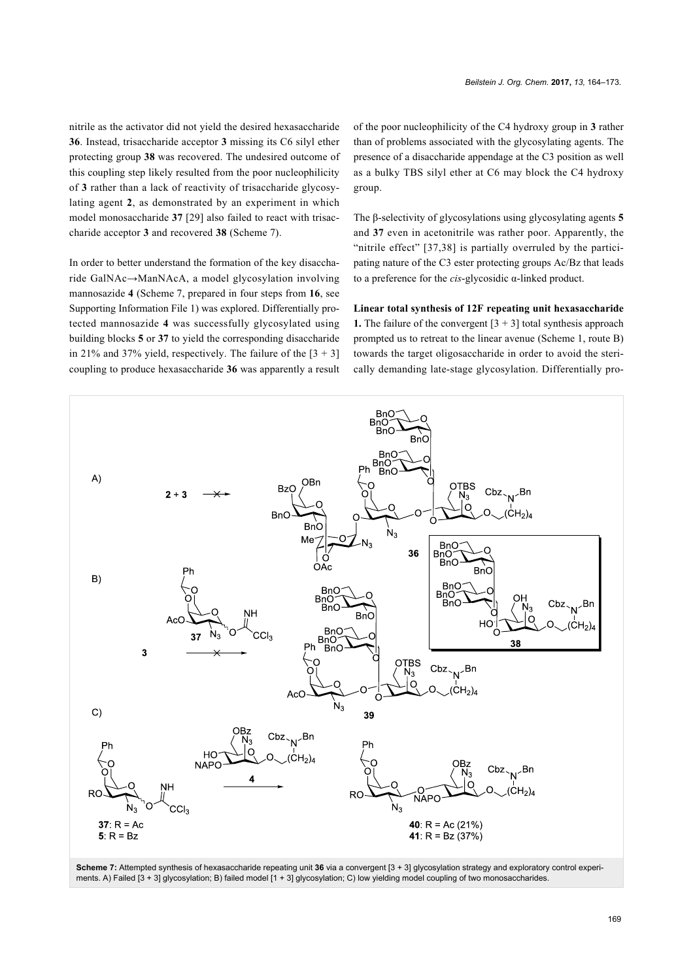nitrile as the activator did not yield the desired hexasaccharide **36**. Instead, trisaccharide acceptor **3** missing its C6 silyl ether protecting group **38** was recovered. The undesired outcome of this coupling step likely resulted from the poor nucleophilicity of **3** rather than a lack of reactivity of trisaccharide glycosylating agent **2**, as demonstrated by an experiment in which model monosaccharide **37** [\[29\]](#page-8-19) also failed to react with trisaccharide acceptor **3** and recovered **38** [\(Scheme 7](#page-5-0)).

In order to better understand the formation of the key disaccharide GalNAc→ManNAcA, a model glycosylation involving mannosazide **4** [\(Scheme 7](#page-5-0), prepared in four steps from **16**, see [Supporting Information File 1\)](#page-8-16) was explored. Differentially protected mannosazide **4** was successfully glycosylated using building blocks **5** or **37** to yield the corresponding disaccharide in 21% and 37% yield, respectively. The failure of the  $[3 + 3]$ coupling to produce hexasaccharide **36** was apparently a result of the poor nucleophilicity of the C4 hydroxy group in **3** rather than of problems associated with the glycosylating agents. The presence of a disaccharide appendage at the C3 position as well as a bulky TBS silyl ether at C6 may block the C4 hydroxy group.

The β-selectivity of glycosylations using glycosylating agents **5** and **37** even in acetonitrile was rather poor. Apparently, the "nitrile effect" [\[37,38\]](#page-9-1) is partially overruled by the participating nature of the C3 ester protecting groups Ac/Bz that leads to a preference for the *cis*-glycosidic α-linked product.

**Linear total synthesis of 12F repeating unit hexasaccharide 1.** The failure of the convergent  $[3 + 3]$  total synthesis approach prompted us to retreat to the linear avenue ([Scheme 1](#page-1-1), route B) towards the target oligosaccharide in order to avoid the sterically demanding late-stage glycosylation. Differentially pro-

<span id="page-5-0"></span>

**Scheme 7:** Attempted synthesis of hexasaccharide repeating unit **36** via a convergent [3 + 3] glycosylation strategy and exploratory control experiments. A) Failed [3 + 3] glycosylation; B) failed model [1 + 3] glycosylation; C) low yielding model coupling of two monosaccharides.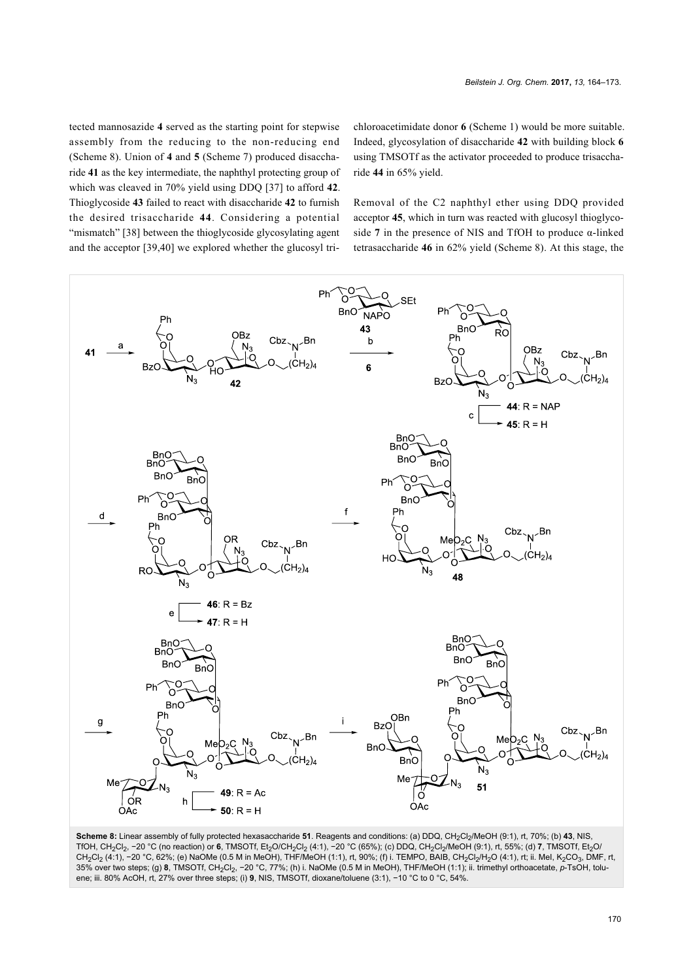tected mannosazide **4** served as the starting point for stepwise assembly from the reducing to the non-reducing end ([Scheme 8\)](#page-6-0). Union of **4** and **5** [\(Scheme 7](#page-5-0)) produced disaccharide **41** as the key intermediate, the naphthyl protecting group of which was cleaved in 70% yield using DDQ [\[37\]](#page-9-1) to afford **42**. Thioglycoside **43** failed to react with disaccharide **42** to furnish the desired trisaccharide **44**. Considering a potential "mismatch" [\[38\]](#page-9-2) between the thioglycoside glycosylating agent and the acceptor [\[39,40\]](#page-9-3) we explored whether the glucosyl trichloroacetimidate donor **6** ([Scheme 1\)](#page-1-1) would be more suitable. Indeed, glycosylation of disaccharide **42** with building block **6** using TMSOTf as the activator proceeded to produce trisaccharide **44** in 65% yield.

Removal of the C2 naphthyl ether using DDQ provided acceptor **45**, which in turn was reacted with glucosyl thioglycoside **7** in the presence of NIS and TfOH to produce α-linked tetrasaccharide **46** in 62% yield ([Scheme 8\)](#page-6-0). At this stage, the

<span id="page-6-0"></span>

Scheme 8: Linear assembly of fully protected hexasaccharide 51. Reagents and conditions: (a) DDQ, CH<sub>2</sub>Cl<sub>2</sub>/MeOH (9:1), rt, 70%; (b) 43, NIS, TfOH, CH<sub>2</sub>Cl<sub>2</sub>, −20 °C (no reaction) or **6**, TMSOTf, Et<sub>2</sub>O/CH<sub>2</sub>Cl<sub>2</sub> (4:1), −20 °C (65%); (c) DDQ, CH<sub>2</sub>Cl<sub>2</sub>/MeOH (9:1), rt, 55%; (d) **7**, TMSOTf, Et<sub>2</sub>O/ CH<sub>2</sub>Cl<sub>2</sub> (4:1), −20 °C, 62%; (e) NaOMe (0.5 M in MeOH), THF/MeOH (1:1), rt, 90%; (f) i. TEMPO, BAIB, CH<sub>2</sub>Cl<sub>2</sub>/H<sub>2</sub>O (4:1), rt; ii. MeI, K<sub>2</sub>CO<sub>3</sub>, DMF, rt, 35% over two steps; (g) **8**, TMSOTf, CH2Cl2, −20 °C, 77%; (h) i. NaOMe (0.5 M in MeOH), THF/MeOH (1:1); ii. trimethyl orthoacetate, *p*-TsOH, toluene; iii. 80% AcOH, rt, 27% over three steps; (i) **9**, NIS, TMSOTf, dioxane/toluene (3:1), −10 °C to 0 °C, 54%.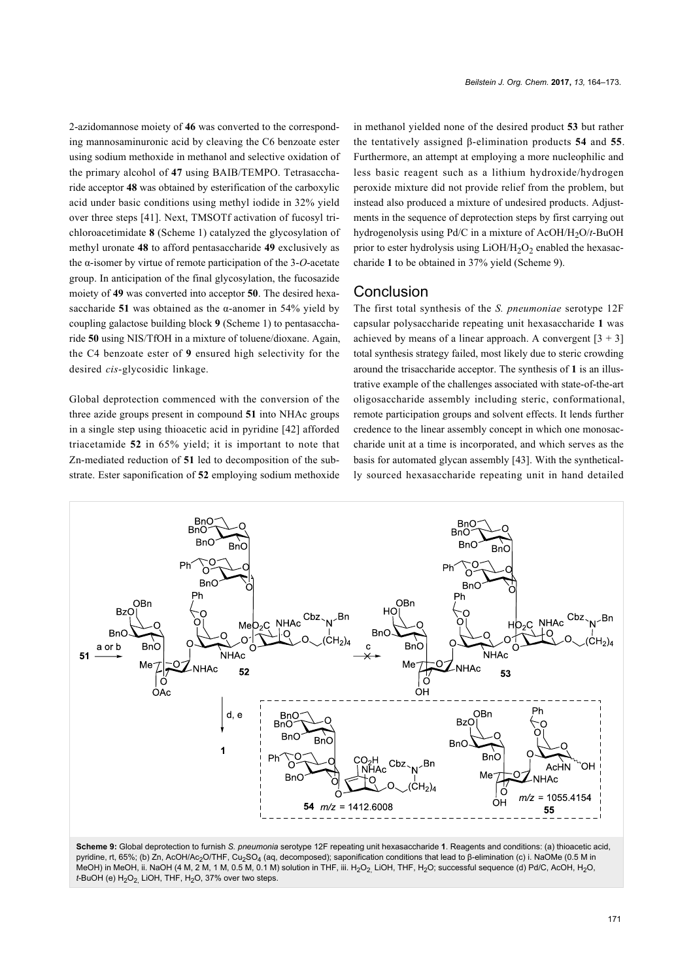2-azidomannose moiety of **46** was converted to the corresponding mannosaminuronic acid by cleaving the C6 benzoate ester using sodium methoxide in methanol and selective oxidation of the primary alcohol of **47** using BAIB/TEMPO. Tetrasaccharide acceptor **48** was obtained by esterification of the carboxylic acid under basic conditions using methyl iodide in 32% yield over three steps [\[41\]](#page-9-4). Next, TMSOTf activation of fucosyl trichloroacetimidate **8** [\(Scheme 1](#page-1-1)) catalyzed the glycosylation of methyl uronate **48** to afford pentasaccharide **49** exclusively as the α-isomer by virtue of remote participation of the 3-*O*-acetate group. In anticipation of the final glycosylation, the fucosazide moiety of **49** was converted into acceptor **50**. The desired hexasaccharide **51** was obtained as the α-anomer in 54% yield by coupling galactose building block **9** [\(Scheme 1\)](#page-1-1) to pentasaccharide **50** using NIS/TfOH in a mixture of toluene/dioxane. Again, the C4 benzoate ester of **9** ensured high selectivity for the desired *cis*-glycosidic linkage.

Global deprotection commenced with the conversion of the three azide groups present in compound **51** into NHAc groups in a single step using thioacetic acid in pyridine [\[42\]](#page-9-5) afforded triacetamide **52** in 65% yield; it is important to note that Zn-mediated reduction of **51** led to decomposition of the substrate. Ester saponification of **52** employing sodium methoxide

in methanol yielded none of the desired product **53** but rather the tentatively assigned β-elimination products **54** and **55**. Furthermore, an attempt at employing a more nucleophilic and less basic reagent such as a lithium hydroxide/hydrogen peroxide mixture did not provide relief from the problem, but instead also produced a mixture of undesired products. Adjustments in the sequence of deprotection steps by first carrying out hydrogenolysis using Pd/C in a mixture of AcOH/H<sub>2</sub>O/*t*-BuOH prior to ester hydrolysis using  $LiOH/H<sub>2</sub>O<sub>2</sub>$  enabled the hexasaccharide **1** to be obtained in 37% yield [\(Scheme 9\)](#page-7-0).

#### **Conclusion**

The first total synthesis of the *S. pneumoniae* serotype 12F capsular polysaccharide repeating unit hexasaccharide **1** was achieved by means of a linear approach. A convergent  $[3 + 3]$ total synthesis strategy failed, most likely due to steric crowding around the trisaccharide acceptor. The synthesis of **1** is an illustrative example of the challenges associated with state-of-the-art oligosaccharide assembly including steric, conformational, remote participation groups and solvent effects. It lends further credence to the linear assembly concept in which one monosaccharide unit at a time is incorporated, and which serves as the basis for automated glycan assembly [\[43\].](#page-9-6) With the synthetically sourced hexasaccharide repeating unit in hand detailed

<span id="page-7-0"></span>

**Scheme 9:** Global deprotection to furnish *S. pneumonia* serotype 12F repeating unit hexasaccharide **1**. Reagents and conditions: (a) thioacetic acid, pyridine, rt, 65%; (b) Zn, AcOH/Ac<sub>2</sub>O/THF, Cu<sub>2</sub>SO<sub>4</sub> (aq, decomposed); saponification conditions that lead to β-elimination (c) i. NaOMe (0.5 M in MeOH) in MeOH, ii. NaOH (4 M, 2 M, 1 M, 0.5 M, 0.1 M) solution in THF, iii. H<sub>2</sub>O<sub>2</sub> LiOH, THF, H<sub>2</sub>O; successful sequence (d) Pd/C, AcOH, H<sub>2</sub>O, *t*-BuOH (e) H<sub>2</sub>O<sub>2</sub> LiOH, THF, H<sub>2</sub>O, 37% over two steps.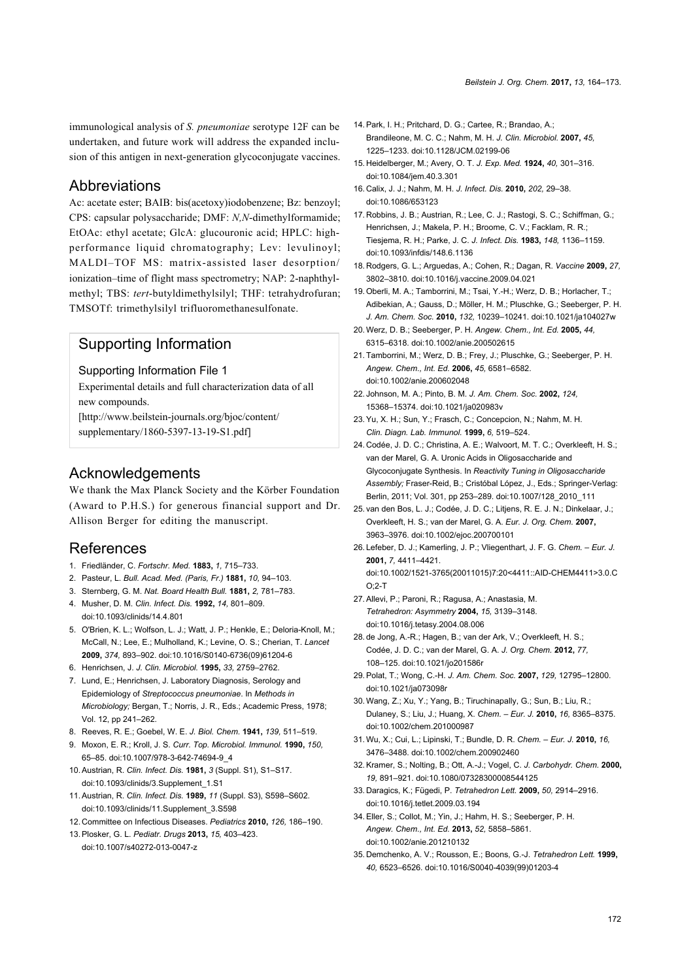immunological analysis of *S. pneumoniae* serotype 12F can be undertaken, and future work will address the expanded inclusion of this antigen in next-generation glycoconjugate vaccines.

#### Abbreviations

Ac: acetate ester; BAIB: bis(acetoxy)iodobenzene; Bz: benzoyl; CPS: capsular polysaccharide; DMF: *N,N*-dimethylformamide; EtOAc: ethyl acetate; GlcA: glucouronic acid; HPLC: highperformance liquid chromatography; Lev: levulinoyl; MALDI–TOF MS: matrix-assisted laser desorption/ ionization–time of flight mass spectrometry; NAP: 2-naphthylmethyl; TBS: *tert*-butyldimethylsilyl; THF: tetrahydrofuran; TMSOTf: trimethylsilyl trifluoromethanesulfonate.

### Supporting Information

#### <span id="page-8-16"></span>Supporting Information File 1

Experimental details and full characterization data of all new compounds.

[\[http://www.beilstein-journals.org/bjoc/content/](http://www.beilstein-journals.org/bjoc/content/supplementary/1860-5397-13-19-S1.pdf) [supplementary/1860-5397-13-19-S1.pdf\]](http://www.beilstein-journals.org/bjoc/content/supplementary/1860-5397-13-19-S1.pdf)

#### Acknowledgements

We thank the Max Planck Society and the Körber Foundation (Award to P.H.S.) for generous financial support and Dr. Allison Berger for editing the manuscript.

#### References

- <span id="page-8-0"></span>1. Friedländer, C. *Fortschr. Med.* **1883,** *1,* 715–733.
- 2. Pasteur, L. *Bull. Acad. Med. (Paris, Fr.)* **1881,** *10,* 94–103.
- 3. Sternberg, G. M. *Nat. Board Health Bull.* **1881,** *2,* 781–783.
- 4. Musher, D. M. *Clin. Infect. Dis.* **1992,** *14,* 801–809. [doi:10.1093/clinids/14.4.801](https://doi.org/10.1093%2Fclinids%2F14.4.801)
- 5. O'Brien, K. L.; Wolfson, L. J.; Watt, J. P.; Henkle, E.; Deloria-Knoll, M.; McCall, N.; Lee, E.; Mulholland, K.; Levine, O. S.; Cherian, T. *Lancet* **2009,** *374,* 893–902. [doi:10.1016/S0140-6736\(09\)61204-6](https://doi.org/10.1016%2FS0140-6736%2809%2961204-6)
- 6. Henrichsen, J. *J. Clin. Microbiol.* **1995,** *33,* 2759–2762.
- <span id="page-8-1"></span>7. Lund, E.; Henrichsen, J. Laboratory Diagnosis, Serology and Epidemiology of *Streptococcus pneumoniae*. In *Methods in Microbiology;* Bergan, T.; Norris, J. R., Eds.; Academic Press, 1978; Vol. 12, pp 241–262.
- <span id="page-8-2"></span>8. Reeves, R. E.; Goebel, W. E. *J. Biol. Chem.* **1941,** *139,* 511–519.
- 9. Moxon, E. R.; Kroll, J. S. *Curr. Top. Microbiol. Immunol.* **1990,** *150,* 65–85. [doi:10.1007/978-3-642-74694-9\\_4](https://doi.org/10.1007%2F978-3-642-74694-9_4)
- 10.Austrian, R. *Clin. Infect. Dis.* **1981,** *3* (Suppl. S1), S1–S17. [doi:10.1093/clinids/3.Supplement\\_1.S1](https://doi.org/10.1093%2Fclinids%2F3.Supplement_1.S1)
- 11.Austrian, R. *Clin. Infect. Dis.* **1989,** *11* (Suppl. S3), S598–S602. [doi:10.1093/clinids/11.Supplement\\_3.S598](https://doi.org/10.1093%2Fclinids%2F11.Supplement_3.S598)
- <span id="page-8-3"></span>12. Committee on Infectious Diseases. *Pediatrics* **2010,** *126,* 186–190.
- 13.Plosker, G. L. *Pediatr. Drugs* **2013,** *15,* 403–423. [doi:10.1007/s40272-013-0047-z](https://doi.org/10.1007%2Fs40272-013-0047-z)
- <span id="page-8-4"></span>14. Park, I. H.; Pritchard, D. G.; Cartee, R.; Brandao, A.; Brandileone, M. C. C.; Nahm, M. H. *J. Clin. Microbiol.* **2007,** *45,* 1225–1233. [doi:10.1128/JCM.02199-06](https://doi.org/10.1128%2FJCM.02199-06)
- <span id="page-8-5"></span>15. Heidelberger, M.; Avery, O. T. *J. Exp. Med.* **1924,** *40,* 301–316. [doi:10.1084/jem.40.3.301](https://doi.org/10.1084%2Fjem.40.3.301)
- <span id="page-8-6"></span>16. Calix, J. J.; Nahm, M. H. *J. Infect. Dis.* **2010,** *202,* 29–38. [doi:10.1086/653123](https://doi.org/10.1086%2F653123)
- <span id="page-8-7"></span>17. Robbins, J. B.; Austrian, R.; Lee, C. J.; Rastogi, S. C.; Schiffman, G.; Henrichsen, J.; Makela, P. H.; Broome, C. V.; Facklam, R. R.; Tiesjema, R. H.; Parke, J. C. *J. Infect. Dis.* **1983,** *148,* 1136–1159. [doi:10.1093/infdis/148.6.1136](https://doi.org/10.1093%2Finfdis%2F148.6.1136)
- <span id="page-8-8"></span>18. Rodgers, G. L.; Arguedas, A.; Cohen, R.; Dagan, R. *Vaccine* **2009,** *27,* 3802–3810. [doi:10.1016/j.vaccine.2009.04.021](https://doi.org/10.1016%2Fj.vaccine.2009.04.021)
- <span id="page-8-9"></span>19.Oberli, M. A.; Tamborrini, M.; Tsai, Y.-H.; Werz, D. B.; Horlacher, T.; Adibekian, A.; Gauss, D.; Möller, H. M.; Pluschke, G.; Seeberger, P. H. *J. Am. Chem. Soc.* **2010,** *132,* 10239–10241. [doi:10.1021/ja104027w](https://doi.org/10.1021%2Fja104027w)
- <span id="page-8-10"></span>20.Werz, D. B.; Seeberger, P. H. *Angew. Chem., Int. Ed.* **2005,** *44,* 6315–6318. [doi:10.1002/anie.200502615](https://doi.org/10.1002%2Fanie.200502615)
- 21.Tamborrini, M.; Werz, D. B.; Frey, J.; Pluschke, G.; Seeberger, P. H. *Angew. Chem., Int. Ed.* **2006,** *45,* 6581–6582. [doi:10.1002/anie.200602048](https://doi.org/10.1002%2Fanie.200602048)
- <span id="page-8-11"></span>22. Johnson, M. A.; Pinto, B. M. *J. Am. Chem. Soc.* **2002,** *124,* 15368–15374. [doi:10.1021/ja020983v](https://doi.org/10.1021%2Fja020983v)
- <span id="page-8-12"></span>23.Yu, X. H.; Sun, Y.; Frasch, C.; Concepcion, N.; Nahm, M. H. *Clin. Diagn. Lab. Immunol.* **1999,** *6,* 519–524.
- <span id="page-8-13"></span>24. Codée, J. D. C.; Christina, A. E.; Walvoort, M. T. C.; Overkleeft, H. S.; van der Marel, G. A. Uronic Acids in Oligosaccharide and Glycoconjugate Synthesis. In *Reactivity Tuning in Oligosaccharide Assembly;* Fraser-Reid, B.; Cristóbal López, J., Eds.; Springer-Verlag: Berlin, 2011; Vol. 301, pp 253–289. [doi:10.1007/128\\_2010\\_111](https://doi.org/10.1007%2F128_2010_111)
- <span id="page-8-14"></span>25. van den Bos, L. J.; Codée, J. D. C.; Litjens, R. E. J. N.; Dinkelaar, J.; Overkleeft, H. S.; van der Marel, G. A. *Eur. J. Org. Chem.* **2007,** 3963–3976. [doi:10.1002/ejoc.200700101](https://doi.org/10.1002%2Fejoc.200700101)
- <span id="page-8-15"></span>26. Lefeber, D. J.; Kamerling, J. P.; Vliegenthart, J. F. G. *Chem. – Eur. J.* **2001,** *7,* 4411–4421. [doi:10.1002/1521-3765\(20011015\)7:20<4411::AID-CHEM4411>3.0.C](https://doi.org/10.1002%2F1521-3765%2820011015%297%3A20%3C4411%3A%3AAID-CHEM4411%3E3.0.CO%3B2-T)  $O:2-T$
- <span id="page-8-17"></span>27.Allevi, P.; Paroni, R.; Ragusa, A.; Anastasia, M. *Tetrahedron: Asymmetry* **2004,** *15,* 3139–3148. [doi:10.1016/j.tetasy.2004.08.006](https://doi.org/10.1016%2Fj.tetasy.2004.08.006)
- <span id="page-8-18"></span>28. de Jong, A.-R.; Hagen, B.; van der Ark, V.; Overkleeft, H. S.; Codée, J. D. C.; van der Marel, G. A. *J. Org. Chem.* **2012,** *77,* 108–125. [doi:10.1021/jo201586r](https://doi.org/10.1021%2Fjo201586r)
- <span id="page-8-19"></span>29.Polat, T.; Wong, C.-H. *J. Am. Chem. Soc.* **2007,** *129,* 12795–12800. [doi:10.1021/ja073098r](https://doi.org/10.1021%2Fja073098r)
- <span id="page-8-20"></span>30.Wang, Z.; Xu, Y.; Yang, B.; Tiruchinapally, G.; Sun, B.; Liu, R.; Dulaney, S.; Liu, J.; Huang, X. *Chem. – Eur. J.* **2010,** *16,* 8365–8375. [doi:10.1002/chem.201000987](https://doi.org/10.1002%2Fchem.201000987)
- <span id="page-8-21"></span>31.Wu, X.; Cui, L.; Lipinski, T.; Bundle, D. R. *Chem. – Eur. J.* **2010,** *16,* 3476–3488. [doi:10.1002/chem.200902460](https://doi.org/10.1002%2Fchem.200902460)
- <span id="page-8-22"></span>32.Kramer, S.; Nolting, B.; Ott, A.-J.; Vogel, C. *J. Carbohydr. Chem.* **2000,** *19,* 891–921. [doi:10.1080/07328300008544125](https://doi.org/10.1080%2F07328300008544125)
- <span id="page-8-23"></span>33. Daragics, K.; Fügedi, P. *Tetrahedron Lett.* **2009,** *50,* 2914–2916. [doi:10.1016/j.tetlet.2009.03.194](https://doi.org/10.1016%2Fj.tetlet.2009.03.194)
- <span id="page-8-24"></span>34.Eller, S.; Collot, M.; Yin, J.; Hahm, H. S.; Seeberger, P. H. *Angew. Chem., Int. Ed.* **2013,** *52,* 5858–5861. [doi:10.1002/anie.201210132](https://doi.org/10.1002%2Fanie.201210132)
- <span id="page-8-25"></span>35. Demchenko, A. V.; Rousson, E.; Boons, G.-J. *Tetrahedron Lett.* **1999,** *40,* 6523–6526. [doi:10.1016/S0040-4039\(99\)01203-4](https://doi.org/10.1016%2FS0040-4039%2899%2901203-4)